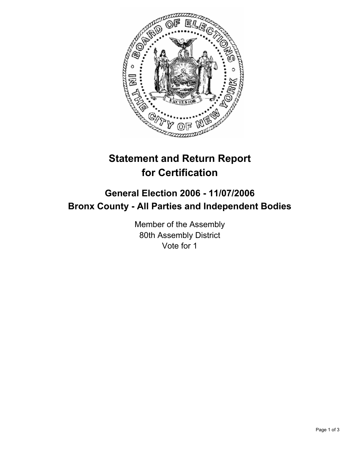

## **Statement and Return Report for Certification**

## **General Election 2006 - 11/07/2006 Bronx County - All Parties and Independent Bodies**

Member of the Assembly 80th Assembly District Vote for 1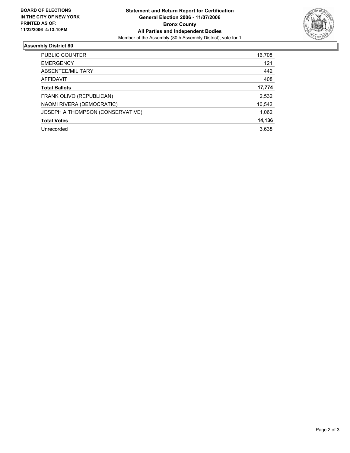

## **Assembly District 80**

| PUBLIC COUNTER                   | 16,708 |
|----------------------------------|--------|
| <b>EMERGENCY</b>                 | 121    |
| ABSENTEE/MILITARY                | 442    |
| AFFIDAVIT                        | 408    |
| <b>Total Ballots</b>             | 17,774 |
| FRANK OLIVO (REPUBLICAN)         | 2,532  |
| NAOMI RIVERA (DEMOCRATIC)        | 10,542 |
| JOSEPH A THOMPSON (CONSERVATIVE) | 1,062  |
| <b>Total Votes</b>               | 14,136 |
| Unrecorded                       | 3,638  |